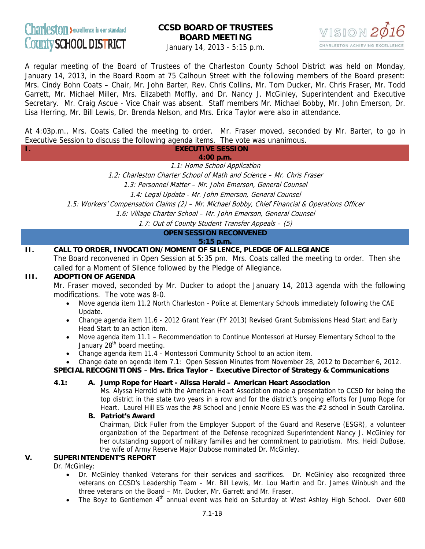# Charleston >excellence is our standard County SCHOOL DISTRICT

## **CCSD BOARD OF TRUSTEES BOARD MEETING**



January 14, 2013 - 5:15 p.m.

A regular meeting of the Board of Trustees of the Charleston County School District was held on Monday, January 14, 2013, in the Board Room at 75 Calhoun Street with the following members of the Board present: Mrs. Cindy Bohn Coats – Chair, Mr. John Barter, Rev. Chris Collins, Mr. Tom Ducker, Mr. Chris Fraser, Mr. Todd Garrett, Mr. Michael Miller, Mrs. Elizabeth Moffly, and Dr. Nancy J. McGinley, Superintendent and Executive Secretary. Mr. Craig Ascue - Vice Chair was absent. Staff members Mr. Michael Bobby, Mr. John Emerson, Dr. Lisa Herring, Mr. Bill Lewis, Dr. Brenda Nelson, and Mrs. Erica Taylor were also in attendance.

At 4:03p.m., Mrs. Coats Called the meeting to order. Mr. Fraser moved, seconded by Mr. Barter, to go in Executive Session to discuss the following agenda items. The vote was unanimous.

| <b>EXECUTIVE SESSION</b>                                              |
|-----------------------------------------------------------------------|
| 4:00 p.m.                                                             |
| 1.1: Home School Application                                          |
| 1.2: Charleston Charter School of Math and Science – Mr. Chris Fraser |
| 1.3: Personnel Matter – Mr. John Emerson, General Counsel             |
| 1.4: Legal Update - Mr. John Emerson, General Counsel                 |

1.5: Workers' Compensation Claims (2) – Mr. Michael Bobby, Chief Financial & Operations Officer

1.6: Village Charter School – Mr. John Emerson, General Counsel

1.7: Out of County Student Transfer Appeals – (5)

**OPEN SESSION RECONVENED** 

**5:15 p.m.** 

## **II. CALL TO ORDER, INVOCATION/MOMENT OF SILENCE, PLEDGE OF ALLEGIANCE**

The Board reconvened in Open Session at 5:35 pm. Mrs. Coats called the meeting to order. Then she called for a Moment of Silence followed by the Pledge of Allegiance.

### **III. ADOPTION OF AGENDA**

Mr. Fraser moved, seconded by Mr. Ducker to adopt the January 14, 2013 agenda with the following modifications. The vote was 8-0.

- Move agenda item 11.2 North Charleston Police at Elementary Schools immediately following the CAE Update.
- Change agenda item 11.6 2012 Grant Year (FY 2013) Revised Grant Submissions Head Start and Early Head Start to an action item.
- Move agenda item 11.1 Recommendation to Continue Montessori at Hursey Elementary School to the January 28<sup>th</sup> board meeting.
- Change agenda item 11.4 Montessori Community School to an action item.
- Change date on agenda item 7.1: Open Session Minutes from November 28, 2012 to December 6, 2012.

#### **SPECIAL RECOGNITIONS** – **Mrs. Erica Taylor – Executive Director of Strategy & Communications**

#### **4.1: A. Jump Rope for Heart - Alissa Herald – American Heart Association**

Ms. Alyssa Herrold with the American Heart Association made a presentation to CCSD for being the top district in the state two years in a row and for the district's ongoing efforts for Jump Rope for Heart. Laurel Hill ES was the #8 School and Jennie Moore ES was the #2 school in South Carolina.

#### **B. Patriot's Award**

Chairman, Dick Fuller from the Employer Support of the Guard and Reserve (ESGR), a volunteer organization of the Department of the Defense recognized Superintendent Nancy J. McGinley for her outstanding support of military families and her commitment to patriotism. Mrs. Heidi DuBose, the wife of Army Reserve Major Dubose nominated Dr. McGinley.

#### **V. SUPERINTENDENT'S REPORT**

Dr. McGinley:

- Dr. McGinley thanked Veterans for their services and sacrifices. Dr. McGinley also recognized three veterans on CCSD's Leadership Team – Mr. Bill Lewis, Mr. Lou Martin and Dr. James Winbush and the three veterans on the Board – Mr. Ducker, Mr. Garrett and Mr. Fraser.
- The Boyz to Gentlemen 4<sup>th</sup> annual event was held on Saturday at West Ashley High School. Over 600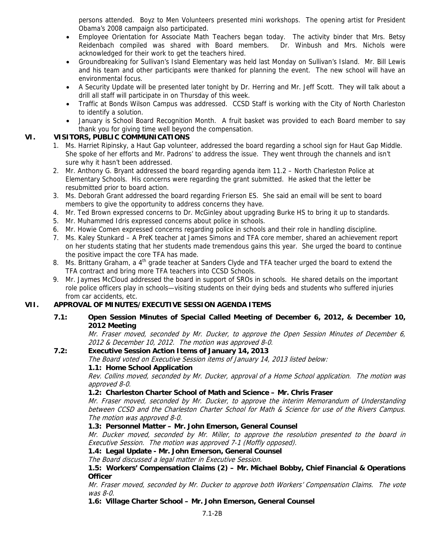persons attended. Boyz to Men Volunteers presented mini workshops. The opening artist for President Obama's 2008 campaign also participated.

- Employee Orientation for Associate Math Teachers began today. The activity binder that Mrs. Betsy Reidenbach compiled was shared with Board members. Dr. Winbush and Mrs. Nichols were acknowledged for their work to get the teachers hired.
- Groundbreaking for Sullivan's Island Elementary was held last Monday on Sullivan's Island. Mr. Bill Lewis and his team and other participants were thanked for planning the event. The new school will have an environmental focus.
- A Security Update will be presented later tonight by Dr. Herring and Mr. Jeff Scott. They will talk about a drill all staff will participate in on Thursday of this week.
- Traffic at Bonds Wilson Campus was addressed. CCSD Staff is working with the City of North Charleston to identify a solution.
- January is School Board Recognition Month. A fruit basket was provided to each Board member to say thank you for giving time well beyond the compensation.

## **VI. VISITORS, PUBLIC COMMUNICATIONS**

- 1. Ms. Harriet Ripinsky, a Haut Gap volunteer, addressed the board regarding a school sign for Haut Gap Middle. She spoke of her efforts and Mr. Padrons' to address the issue. They went through the channels and isn't sure why it hasn't been addressed.
- 2. Mr. Anthony G. Bryant addressed the board regarding agenda item 11.2 North Charleston Police at Elementary Schools. His concerns were regarding the grant submitted. He asked that the letter be resubmitted prior to board action.
- 3. Ms. Deborah Grant addressed the board regarding Frierson ES. She said an email will be sent to board members to give the opportunity to address concerns they have.
- 4. Mr. Ted Brown expressed concerns to Dr. McGinley about upgrading Burke HS to bring it up to standards.
- 5. Mr. Muhammed Idris expressed concerns about police in schools.
- 6. Mr. Howie Comen expressed concerns regarding police in schools and their role in handling discipline.
- 7. Ms. Kaley Stunkard A PreK teacher at James Simons and TFA core member, shared an achievement report on her students stating that her students made tremendous gains this year. She urged the board to continue the positive impact the core TFA has made.
- 8. Ms. Brittany Graham, a 4<sup>th</sup> grade teacher at Sanders Clyde and TFA teacher urged the board to extend the TFA contract and bring more TFA teachers into CCSD Schools.
- 9. Mr. Jaymes McCloud addressed the board in support of SROs in schools. He shared details on the important role police officers play in schools—visiting students on their dying beds and students who suffered injuries from car accidents, etc.

## **VII. APPROVAL OF MINUTES/EXECUTIVE SESSION AGENDA ITEMS**

 **7.1: Open Session Minutes of Special Called Meeting of December 6, 2012, & December 10, 2012 Meeting** 

Mr. Fraser moved, seconded by Mr. Ducker, to approve the Open Session Minutes of December 6, 2012 & December 10, 2012. The motion was approved 8-0.

## **7.2: Executive Session Action Items of January 14, 2013**

The Board voted on Executive Session items of January 14, 2013 listed below:

#### **1.1: Home School Application**

Rev. Collins moved, seconded by Mr. Ducker, approval of a Home School application. The motion was approved 8-0.

## **1.2: Charleston Charter School of Math and Science – Mr. Chris Fraser**

Mr. Fraser moved, seconded by Mr. Ducker, to approve the interim Memorandum of Understanding between CCSD and the Charleston Charter School for Math & Science for use of the Rivers Campus. The motion was approved 8-0.

## **1.3: Personnel Matter – Mr. John Emerson, General Counsel**

Mr. Ducker moved, seconded by Mr. Miller, to approve the resolution presented to the board in Executive Session. The motion was approved 7-1 (Moffly opposed).

#### **1.4: Legal Update - Mr. John Emerson, General Counsel**

The Board discussed a legal matter in Executive Session.

 **1.5: Workers' Compensation Claims (2) – Mr. Michael Bobby, Chief Financial & Operations Officer** 

Mr. Fraser moved, seconded by Mr. Ducker to approve both Workers' Compensation Claims. The vote was 8-0.

#### **1.6: Village Charter School – Mr. John Emerson, General Counsel**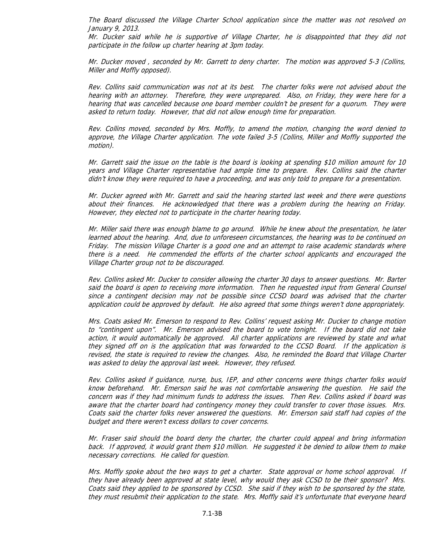The Board discussed the Village Charter School application since the matter was not resolved on January 9, 2013.

Mr. Ducker said while he is supportive of Village Charter, he is disappointed that they did not participate in the follow up charter hearing at 3pm today.

Mr. Ducker moved , seconded by Mr. Garrett to deny charter. The motion was approved 5-3 (Collins, Miller and Moffly opposed).

Rev. Collins said communication was not at its best. The charter folks were not advised about the hearing with an attorney. Therefore, they were unprepared. Also, on Friday, they were here for a hearing that was cancelled because one board member couldn't be present for a quorum. They were asked to return today. However, that did not allow enough time for preparation.

Rev. Collins moved, seconded by Mrs. Moffly, to amend the motion, changing the word denied to approve, the Village Charter application. The vote failed 3-5 (Collins, Miller and Moffly supported the motion).

Mr. Garrett said the issue on the table is the board is looking at spending \$10 million amount for 10 years and Village Charter representative had ample time to prepare. Rev. Collins said the charter didn't know they were required to have a proceeding, and was only told to prepare for a presentation.

Mr. Ducker agreed with Mr. Garrett and said the hearing started last week and there were questions about their finances. He acknowledged that there was a problem during the hearing on Friday. However, they elected not to participate in the charter hearing today.

Mr. Miller said there was enough blame to go around. While he knew about the presentation, he later learned about the hearing. And, due to unforeseen circumstances, the hearing was to be continued on Friday. The mission Village Charter is a good one and an attempt to raise academic standards where there is a need. He commended the efforts of the charter school applicants and encouraged the Village Charter group not to be discouraged.

Rev. Collins asked Mr. Ducker to consider allowing the charter 30 days to answer questions. Mr. Barter said the board is open to receiving more information. Then he requested input from General Counsel since a contingent decision may not be possible since CCSD board was advised that the charter application could be approved by default. He also agreed that some things weren't done appropriately.

Mrs. Coats asked Mr. Emerson to respond to Rev. Collins' request asking Mr. Ducker to change motion to "contingent upon". Mr. Emerson advised the board to vote tonight. If the board did not take action, it would automatically be approved. All charter applications are reviewed by state and what they signed off on is the application that was forwarded to the CCSD Board. If the application is revised, the state is required to review the changes. Also, he reminded the Board that Village Charter was asked to delay the approval last week. However, they refused.

Rev. Collins asked if guidance, nurse, bus, IEP, and other concerns were things charter folks would know beforehand. Mr. Emerson said he was not comfortable answering the question. He said the concern was if they had minimum funds to address the issues. Then Rev. Collins asked if board was aware that the charter board had contingency money they could transfer to cover those issues. Mrs. Coats said the charter folks never answered the questions. Mr. Emerson said staff had copies of the budget and there weren't excess dollars to cover concerns.

Mr. Fraser said should the board deny the charter, the charter could appeal and bring information back. If approved, it would grant them \$10 million. He suggested it be denied to allow them to make necessary corrections. He called for question.

Mrs. Moffly spoke about the two ways to get a charter. State approval or home school approval. If they have already been approved at state level, why would they ask CCSD to be their sponsor? Mrs. Coats said they applied to be sponsored by CCSD. She said if they wish to be sponsored by the state, they must resubmit their application to the state. Mrs. Moffly said it's unfortunate that everyone heard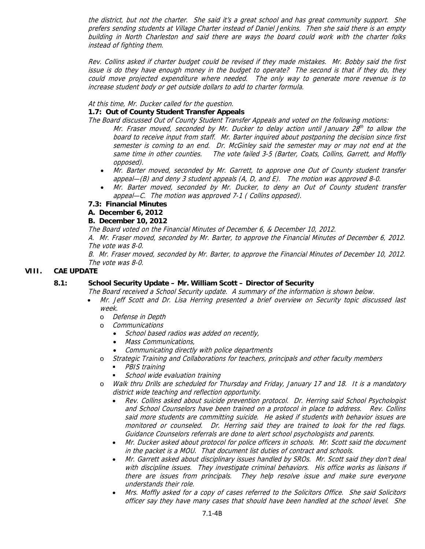the district, but not the charter. She said it's a great school and has great community support. She prefers sending students at Village Charter instead of Daniel Jenkins. Then she said there is an empty building in North Charleston and said there are ways the board could work with the charter folks instead of fighting them.

Rev. Collins asked if charter budget could be revised if they made mistakes. Mr. Bobby said the first issue is do they have enough money in the budget to operate? The second is that if they do, they could move projected expenditure where needed. The only way to generate more revenue is to increase student body or get outside dollars to add to charter formula.

#### At this time, Mr. Ducker called for the question.

#### **1.7: Out of County Student Transfer Appeals**

The Board discussed Out of County Student Transfer Appeals and voted on the following motions:

- Mr. Fraser moved, seconded by Mr. Ducker to delay action until January  $28<sup>th</sup>$  to allow the board to receive input from staff. Mr. Barter inquired about postponing the decision since first semester is coming to an end. Dr. McGinley said the semester may or may not end at the same time in other counties. The vote failed 3-5 (Barter, Coats, Collins, Garrett, and Moffly opposed).
- Mr. Barter moved, seconded by Mr. Garrett, to approve one Out of County student transfer appeal—(B) and deny 3 student appeals (A, D, and E). The motion was approved 8-0.
- Mr. Barter moved, seconded by Mr. Ducker, to deny an Out of County student transfer appeal—C. The motion was approved 7-1 ( Collins opposed).
- **7.3: Financial Minutes**

#### **A. December 6, 2012**

#### **B. December 10, 2012**

The Board voted on the Financial Minutes of December 6, & December 10, 2012.

A. Mr. Fraser moved, seconded by Mr. Barter, to approve the Financial Minutes of December 6, 2012. The vote was 8-0.

B. Mr. Fraser moved, seconded by Mr. Barter, to approve the Financial Minutes of December 10, 2012. The vote was 8-0.

#### **VIII. CAE UPDATE**

#### **8.1: School Security Update – Mr. William Scott – Director of Security**

The Board received a School Security update. A summary of the information is shown below.

- Mr. Jeff Scott and Dr. Lisa Herring presented a brief overview on Security topic discussed last week.
	- o Defense in Depth
	- o Communications
		- School based radios was added on recently,
		- Mass Communications,
		- Communicating directly with police departments
	- o Strategic Training and Collaborations for teachers, principals and other faculty members
		- PBIS training
		- School wide evaluation training
	- Walk thru Drills are scheduled for Thursday and Friday, January 17 and 18. It is a mandatory district wide teaching and reflection opportunity.
		- Rev. Collins asked about suicide prevention protocol. Dr. Herring said School Psychologist and School Counselors have been trained on a protocol in place to address. Rev. Collins said more students are committing suicide. He asked if students with behavior issues are monitored or counseled. Dr. Herring said they are trained to look for the red flags. Guidance Counselors referrals are done to alert school psychologists and parents.
		- Mr. Ducker asked about protocol for police officers in schools. Mr. Scott said the document in the packet is a MOU. That document list duties of contract and schools.
		- Mr. Garrett asked about disciplinary issues handled by SROs. Mr. Scott said they don't deal with discipline issues. They investigate criminal behaviors. His office works as liaisons if there are issues from principals. They help resolve issue and make sure everyone understands their role.
		- Mrs. Moffly asked for a copy of cases referred to the Solicitors Office. She said Solicitors officer say they have many cases that should have been handled at the school level. She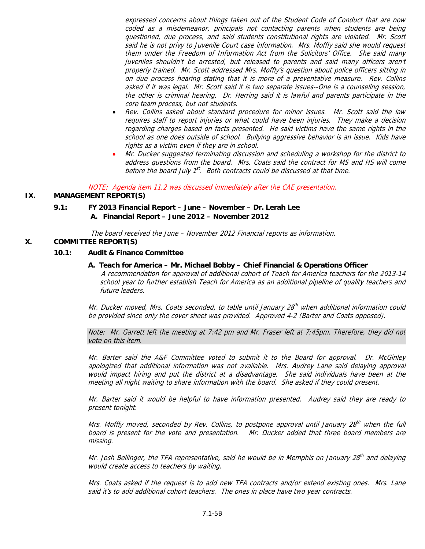expressed concerns about things taken out of the Student Code of Conduct that are now coded as a misdemeanor, principals not contacting parents when students are being questioned, due process, and said students constitutional rights are violated. Mr. Scott said he is not privy to Juvenile Court case information. Mrs. Moffly said she would request them under the Freedom of Information Act from the Solicitors' Office. She said many juveniles shouldn't be arrested, but released to parents and said many officers aren't properly trained. Mr. Scott addressed Mrs. Moffly's question about police officers sitting in on due process hearing stating that it is more of a preventative measure. Rev. Collins asked if it was legal. Mr. Scott said it is two separate issues--One is a counseling session, the other is criminal hearing. Dr. Herring said it is lawful and parents participate in the core team process, but not students.

- Rev. Collins asked about standard procedure for minor issues. Mr. Scott said the law requires staff to report injuries or what could have been injuries. They make a decision regarding charges based on facts presented. He said victims have the same rights in the school as one does outside of school. Bullying aggressive behavior is an issue. Kids have rights as a victim even if they are in school.
- Mr. Ducker suggested terminating discussion and scheduling a workshop for the district to address questions from the board. Mrs. Coats said the contract for MS and HS will come before the board July  $1^{st}$ . Both contracts could be discussed at that time.

NOTE: Agenda item 11.2 was discussed immediately after the CAE presentation.

#### **IX. MANAGEMENT REPORT(S)**

#### **9.1: FY 2013 Financial Report – June – November – Dr. Lerah Lee A. Financial Report – June 2012 – November 2012**

The board received the June – November 2012 Financial reports as information.

#### **X. COMMITTEE REPORT(S)**

#### **10.1: Audit & Finance Committee**

 **A. Teach for America – Mr. Michael Bobby – Chief Financial & Operations Officer**  A recommendation for approval of additional cohort of Teach for America teachers for the 2013-14 school year to further establish Teach for America as an additional pipeline of quality teachers and future leaders.

Mr. Ducker moved, Mrs. Coats seconded, to table until January  $28<sup>th</sup>$  when additional information could be provided since only the cover sheet was provided. Approved 4-2 (Barter and Coats opposed).

Note: Mr. Garrett left the meeting at 7:42 pm and Mr. Fraser left at 7:45pm. Therefore, they did not vote on this item.

Mr. Barter said the A&F Committee voted to submit it to the Board for approval. Dr. McGinley apologized that additional information was not available. Mrs. Audrey Lane said delaying approval would impact hiring and put the district at a disadvantage. She said individuals have been at the meeting all night waiting to share information with the board. She asked if they could present.

Mr. Barter said it would be helpful to have information presented. Audrey said they are ready to present tonight.

Mrs. Moffly moved, seconded by Rev. Collins, to postpone approval until January 28<sup>th</sup> when the full board is present for the vote and presentation. Mr. Ducker added that three board members are missing.

Mr. Josh Bellinger, the TFA representative, said he would be in Memphis on January 28<sup>th</sup> and delaying would create access to teachers by waiting.

Mrs. Coats asked if the request is to add new TFA contracts and/or extend existing ones. Mrs. Lane said it's to add additional cohort teachers. The ones in place have two year contracts.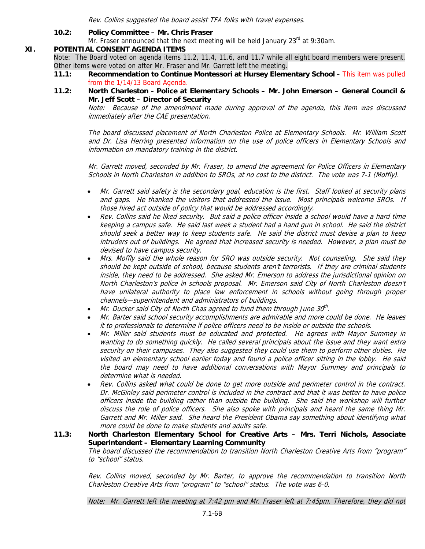Rev. Collins suggested the board assist TFA folks with travel expenses.

#### **10.2: Policy Committee – Mr. Chris Fraser**

Mr. Fraser announced that the next meeting will be held January 23<sup>rd</sup> at 9:30am.

#### **XI. POTENTIAL CONSENT AGENDA ITEMS**

Note: The Board voted on agenda items 11.2, 11.4, 11.6, and 11.7 while all eight board members were present. Other items were voted on after Mr. Fraser and Mr. Garrett left the meeting.

- **11.1: Recommendation to Continue Montessori at Hursey Elementary School This item was pulled** from the 1/14/13 Board Agenda.
- **11.2: North Charleston Police at Elementary Schools Mr. John Emerson General Council & Mr. Jeff Scott – Director of Security**

Note: Because of the amendment made during approval of the agenda, this item was discussed immediately after the CAE presentation.

The board discussed placement of North Charleston Police at Elementary Schools. Mr. William Scott and Dr. Lisa Herring presented information on the use of police officers in Elementary Schools and information on mandatory training in the district.

Mr. Garrett moved, seconded by Mr. Fraser, to amend the agreement for Police Officers in Elementary Schools in North Charleston in addition to SROs, at no cost to the district. The vote was 7-1 (Moffly).

- Mr. Garrett said safety is the secondary goal, education is the first. Staff looked at security plans and gaps. He thanked the visitors that addressed the issue. Most principals welcome SROs. If those hired act outside of policy that would be addressed accordingly.
- Rev. Collins said he liked security. But said a police officer inside a school would have a hard time keeping a campus safe. He said last week a student had a hand gun in school. He said the district should seek a better way to keep students safe. He said the district must devise a plan to keep intruders out of buildings. He agreed that increased security is needed. However, a plan must be devised to have campus security.
- Mrs. Moffly said the whole reason for SRO was outside security. Not counseling. She said they should be kept outside of school, because students aren't terrorists. If they are criminal students inside, they need to be addressed. She asked Mr. Emerson to address the jurisdictional opinion on North Charleston's police in schools proposal. Mr. Emerson said City of North Charleston doesn't have unilateral authority to place law enforcement in schools without going through proper channels—superintendent and administrators of buildings.
- Mr. Ducker said City of North Chas agreed to fund them through June  $30<sup>th</sup>$ .
- Mr. Barter said school security accomplishments are admirable and more could be done. He leaves it to professionals to determine if police officers need to be inside or outside the schools.
- Mr. Miller said students must be educated and protected. He agrees with Mayor Summey in wanting to do something quickly. He called several principals about the issue and they want extra security on their campuses. They also suggested they could use them to perform other duties. He visited an elementary school earlier today and found a police officer sitting in the lobby. He said the board may need to have additional conversations with Mayor Summey and principals to determine what is needed.
- Rev. Collins asked what could be done to get more outside and perimeter control in the contract. Dr. McGinley said perimeter control is included in the contract and that it was better to have police officers inside the building rather than outside the building. She said the workshop will further discuss the role of police officers. She also spoke with principals and heard the same thing Mr. Garrett and Mr. Miller said. She heard the President Obama say something about identifying what more could be done to make students and adults safe.

#### **11.3: North Charleston Elementary School for Creative Arts – Mrs. Terri Nichols, Associate Superintendent – Elementary Learning Community**  The board discussed the recommendation to transition North Charleston Creative Arts from "program" to "school" status.

Rev. Collins moved, seconded by Mr. Barter, to approve the recommendation to transition North Charleston Creative Arts from "program" to "school" status. The vote was 6-0.

Note: Mr. Garrett left the meeting at 7:42 pm and Mr. Fraser left at 7:45pm. Therefore, they did not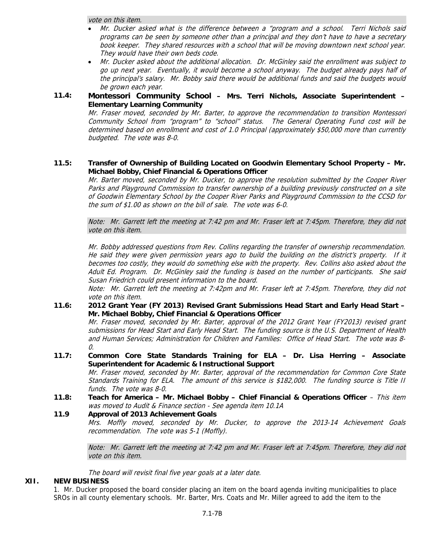vote on this item.

- Mr. Ducker asked what is the difference between a "program and a school. Terri Nichols said programs can be seen by someone other than a principal and they don't have to have a secretary book keeper. They shared resources with a school that will be moving downtown next school year. They would have their own beds code.
- Mr. Ducker asked about the additional allocation. Dr. McGinley said the enrollment was subject to go up next year. Eventually, it would become a school anyway. The budget already pays half of the principal's salary. Mr. Bobby said there would be additional funds and said the budgets would be grown each year.

#### **11.4: Montessori Community School – Mrs. Terri Nichols, Associate Superintendent – Elementary Learning Community**

Mr. Fraser moved, seconded by Mr. Barter, to approve the recommendation to transition Montessori Community School from "program" to "school" status. The General Operating Fund cost will be determined based on enrollment and cost of 1.0 Principal (approximately \$50,000 more than currently budgeted. The vote was 8-0.

#### **11.5: Transfer of Ownership of Building Located on Goodwin Elementary School Property – Mr. Michael Bobby, Chief Financial & Operations Officer**

Mr. Barter moved, seconded by Mr. Ducker, to approve the resolution submitted by the Cooper River Parks and Playground Commission to transfer ownership of a building previously constructed on a site of Goodwin Elementary School by the Cooper River Parks and Playground Commission to the CCSD for the sum of \$1.00 as shown on the bill of sale. The vote was 6-0.

Note: Mr. Garrett left the meeting at 7:42 pm and Mr. Fraser left at 7:45pm. Therefore, they did not vote on this item.

Mr. Bobby addressed questions from Rev. Collins regarding the transfer of ownership recommendation. He said they were given permission years ago to build the building on the district's property. If it becomes too costly, they would do something else with the property. Rev. Collins also asked about the Adult Ed. Program. Dr. McGinley said the funding is based on the number of participants. She said Susan Friedrich could present information to the board.

Note: Mr. Garrett left the meeting at 7:42pm and Mr. Fraser left at 7:45pm. Therefore, they did not vote on this item.

**11.6: 2012 Grant Year (FY 2013) Revised Grant Submissions Head Start and Early Head Start – Mr. Michael Bobby, Chief Financial & Operations Officer** 

Mr. Fraser moved, seconded by Mr. Barter, approval of the 2012 Grant Year (FY2013) revised grant submissions for Head Start and Early Head Start. The funding source is the U.S. Department of Health and Human Services; Administration for Children and Families: Office of Head Start. The vote was 8- 0.

**11.7: Common Core State Standards Training for ELA – Dr. Lisa Herring – Associate Superintendent for Academic & Instructional Support** 

Mr. Fraser moved, seconded by Mr. Barter, approval of the recommendation for Common Core State Standards Training for ELA. The amount of this service is \$182,000. The funding source is Title II funds. The vote was 8-0.

**11.8: Teach for America – Mr. Michael Bobby – Chief Financial & Operations Officer** – This item was moved to Audit & Finance section - See agenda item 10.1A

#### **11.9 Approval of 2013 Achievement Goals**

Mrs. Moffly moved, seconded by Mr. Ducker, to approve the 2013-14 Achievement Goals recommendation. The vote was 5-1 (Moffly).

Note: Mr. Garrett left the meeting at 7:42 pm and Mr. Fraser left at 7:45pm. Therefore, they did not vote on this item.

The board will revisit final five year goals at a later date.

#### **XII. NEW BUSINESS**

1. Mr. Ducker proposed the board consider placing an item on the board agenda inviting municipalities to place SROs in all county elementary schools. Mr. Barter, Mrs. Coats and Mr. Miller agreed to add the item to the